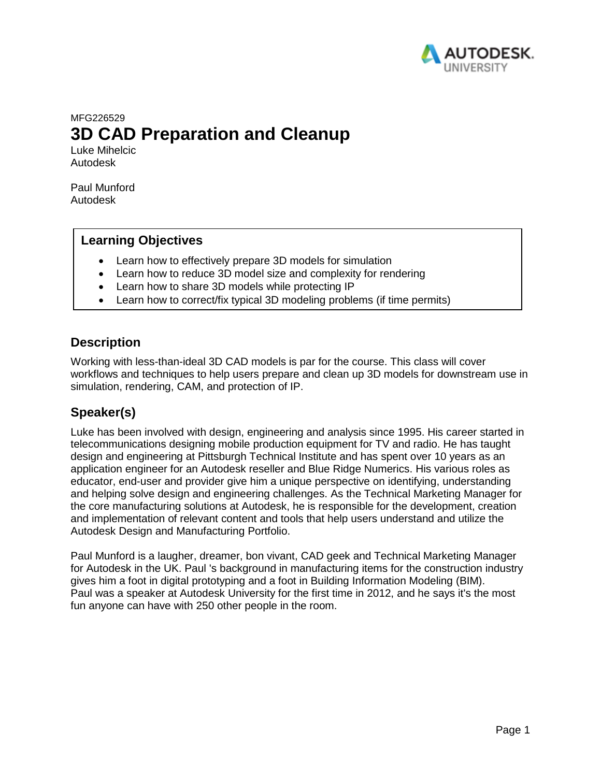

# MFG226529 **3D CAD Preparation and Cleanup**

Luke Mihelcic Autodesk

Paul Munford Autodesk

### **Learning Objectives**

- Learn how to effectively prepare 3D models for simulation
- Learn how to reduce 3D model size and complexity for rendering
- Learn how to share 3D models while protecting IP
- Learn how to correct/fix typical 3D modeling problems (if time permits)

### **Description**

Working with less-than-ideal 3D CAD models is par for the course. This class will cover workflows and techniques to help users prepare and clean up 3D models for downstream use in simulation, rendering, CAM, and protection of IP.

## **Speaker(s)**

Luke has been involved with design, engineering and analysis since 1995. His career started in telecommunications designing mobile production equipment for TV and radio. He has taught design and engineering at Pittsburgh Technical Institute and has spent over 10 years as an application engineer for an Autodesk reseller and Blue Ridge Numerics. His various roles as educator, end-user and provider give him a unique perspective on identifying, understanding and helping solve design and engineering challenges. As the Technical Marketing Manager for the core manufacturing solutions at Autodesk, he is responsible for the development, creation and implementation of relevant content and tools that help users understand and utilize the Autodesk Design and Manufacturing Portfolio.

Paul Munford is a laugher, dreamer, bon vivant, CAD geek and Technical Marketing Manager for Autodesk in the UK. Paul 's background in manufacturing items for the construction industry gives him a foot in digital prototyping and a foot in Building Information Modeling (BIM). Paul was a speaker at Autodesk University for the first time in 2012, and he says it's the most fun anyone can have with 250 other people in the room.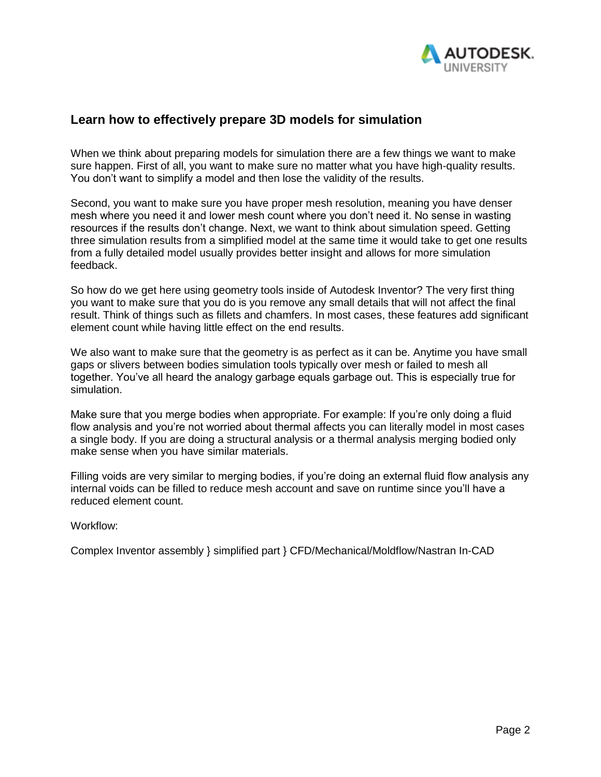

### **Learn how to effectively prepare 3D models for simulation**

When we think about preparing models for simulation there are a few things we want to make sure happen. First of all, you want to make sure no matter what you have high-quality results. You don't want to simplify a model and then lose the validity of the results.

Second, you want to make sure you have proper mesh resolution, meaning you have denser mesh where you need it and lower mesh count where you don't need it. No sense in wasting resources if the results don't change. Next, we want to think about simulation speed. Getting three simulation results from a simplified model at the same time it would take to get one results from a fully detailed model usually provides better insight and allows for more simulation feedback.

So how do we get here using geometry tools inside of Autodesk Inventor? The very first thing you want to make sure that you do is you remove any small details that will not affect the final result. Think of things such as fillets and chamfers. In most cases, these features add significant element count while having little effect on the end results.

We also want to make sure that the geometry is as perfect as it can be. Anytime you have small gaps or slivers between bodies simulation tools typically over mesh or failed to mesh all together. You've all heard the analogy garbage equals garbage out. This is especially true for simulation.

Make sure that you merge bodies when appropriate. For example: If you're only doing a fluid flow analysis and you're not worried about thermal affects you can literally model in most cases a single body. If you are doing a structural analysis or a thermal analysis merging bodied only make sense when you have similar materials.

Filling voids are very similar to merging bodies, if you're doing an external fluid flow analysis any internal voids can be filled to reduce mesh account and save on runtime since you'll have a reduced element count.

Workflow:

Complex Inventor assembly } simplified part } CFD/Mechanical/Moldflow/Nastran In-CAD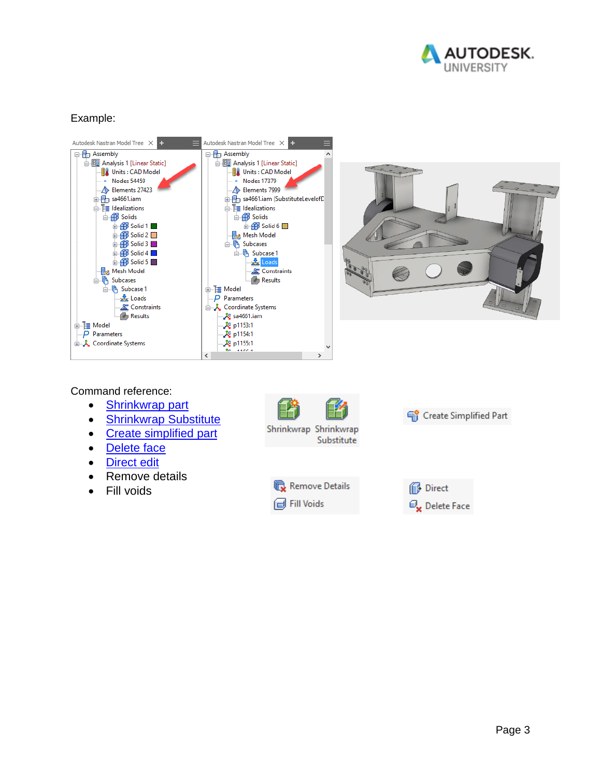

#### Example:





#### Command reference:

- [Shrinkwrap part](https://help.autodesk.com/view/INVNTOR/2019/ENU/?guid=GUID-A106F1D6-2B7C-4BAB-9356-1DB87CA4767A)
- [Shrinkwrap Substitute](https://help.autodesk.com/view/INVNTOR/2019/ENU/?guid=GUID-00B17673-8CC3-4F6F-9CC3-8069F3487C03)
- [Create simplified](https://help.autodesk.com/view/INVNTOR/2019/ENU/?guid=GUID-B0D9FF6F-938E-4A3A-8F1B-95B9B2D58BEA) [part](https://help.autodesk.com/view/INVNTOR/2019/ENU/?guid=GUID-B0D9FF6F-938E-4A3A-8F1B-95B9B2D58BEA)
- [Delete face](https://help.autodesk.com/view/INVNTOR/2019/ENU/?guid=GUID-E9151557-0811-49FE-AC40-3AA364466DA8)
- [Direct](https://help.autodesk.com/view/INVNTOR/2019/ENU/?guid=GUID-3C3258FE-E5B2-4219-BE90-BD8011580855) [edit](https://help.autodesk.com/view/INVNTOR/2019/ENU/?guid=GUID-3C3258FE-E5B2-4219-BE90-BD8011580855)
- Remove details
- Fill voids







Create Simplified Part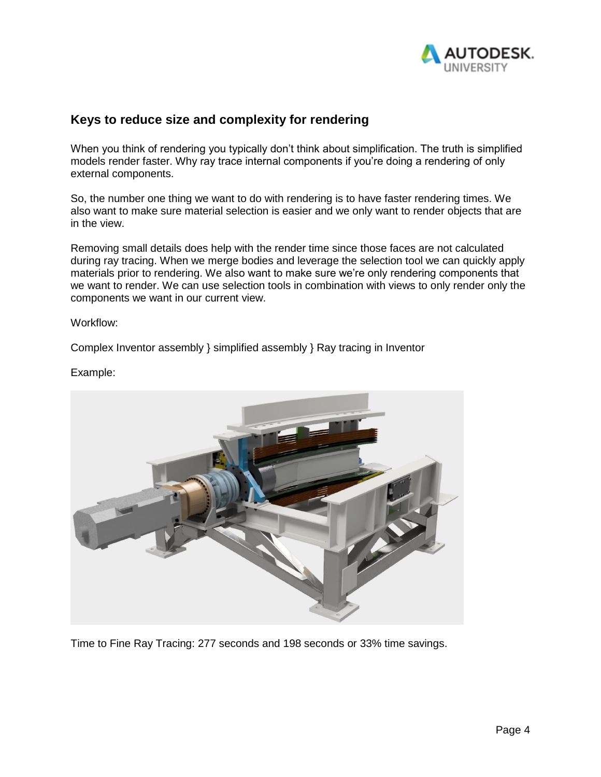

### **Keys to reduce size and complexity for rendering**

When you think of rendering you typically don't think about simplification. The truth is simplified models render faster. Why ray trace internal components if you're doing a rendering of only external components.

So, the number one thing we want to do with rendering is to have faster rendering times. We also want to make sure material selection is easier and we only want to render objects that are in the view.

Removing small details does help with the render time since those faces are not calculated during ray tracing. When we merge bodies and leverage the selection tool we can quickly apply materials prior to rendering. We also want to make sure we're only rendering components that we want to render. We can use selection tools in combination with views to only render only the components we want in our current view.

Workflow:

Complex Inventor assembly } simplified assembly } Ray tracing in Inventor

Example:



Time to Fine Ray Tracing: 277 seconds and 198 seconds or 33% time savings.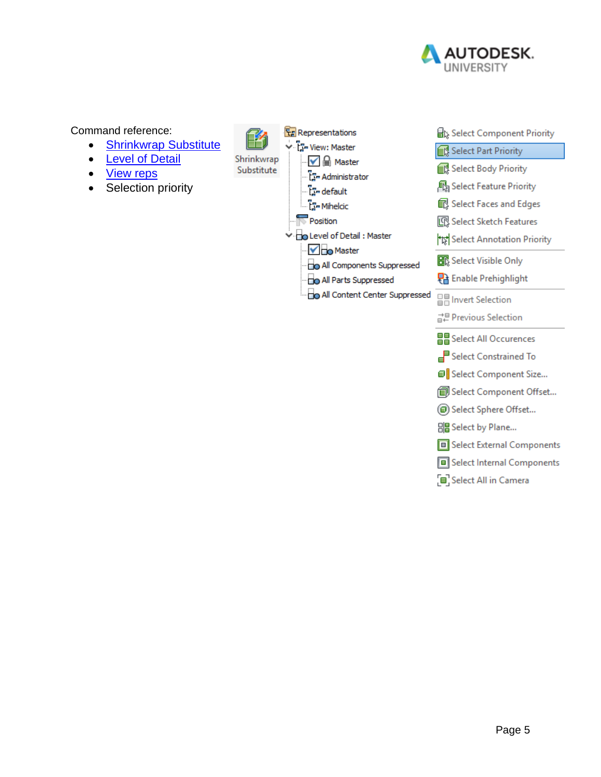

Command reference:

- [Shrinkwrap Substitute](https://help.autodesk.com/view/INVNTOR/2019/ENU/?guid=GUID-00B17673-8CC3-4F6F-9CC3-8069F3487C03)
- [Level of Detail](https://help.autodesk.com/view/INVNTOR/2019/ENU/?guid=GUID-BB22DDCB-F370-4BF0-B438-EC1D0E91D49E)
- **[View](https://help.autodesk.com/view/INVNTOR/2019/ENU/?guid=GUID-397F9263-12C3-47A1-B6A6-16FC05EDEF47) [reps](https://help.autodesk.com/view/INVNTOR/2019/ENU/?guid=GUID-397F9263-12C3-47A1-B6A6-16FC05EDEF47)**
- Selection priority



- Select External Components
- Select Internal Components
- Select All in Camera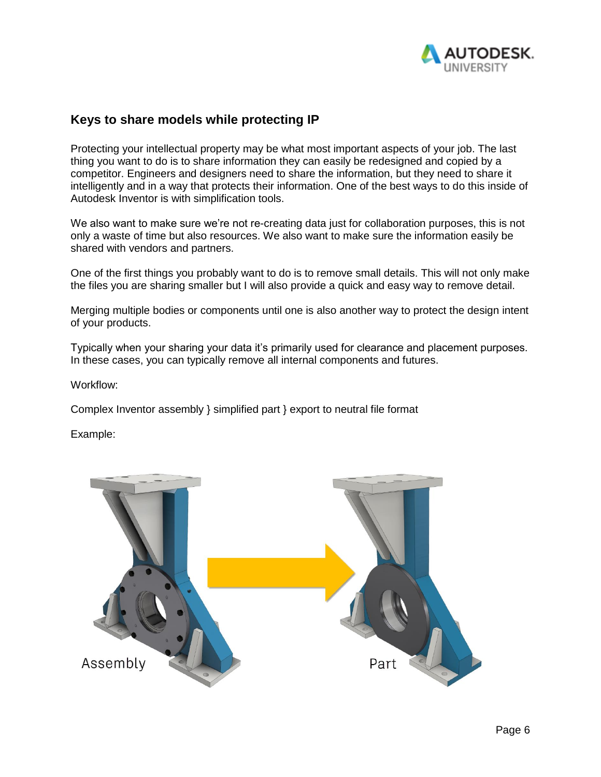

### **Keys to share models while protecting IP**

Protecting your intellectual property may be what most important aspects of your job. The last thing you want to do is to share information they can easily be redesigned and copied by a competitor. Engineers and designers need to share the information, but they need to share it intelligently and in a way that protects their information. One of the best ways to do this inside of Autodesk Inventor is with simplification tools.

We also want to make sure we're not re-creating data just for collaboration purposes, this is not only a waste of time but also resources. We also want to make sure the information easily be shared with vendors and partners.

One of the first things you probably want to do is to remove small details. This will not only make the files you are sharing smaller but I will also provide a quick and easy way to remove detail.

Merging multiple bodies or components until one is also another way to protect the design intent of your products.

Typically when your sharing your data it's primarily used for clearance and placement purposes. In these cases, you can typically remove all internal components and futures.

Workflow:

Complex Inventor assembly } simplified part } export to neutral file format

Example:

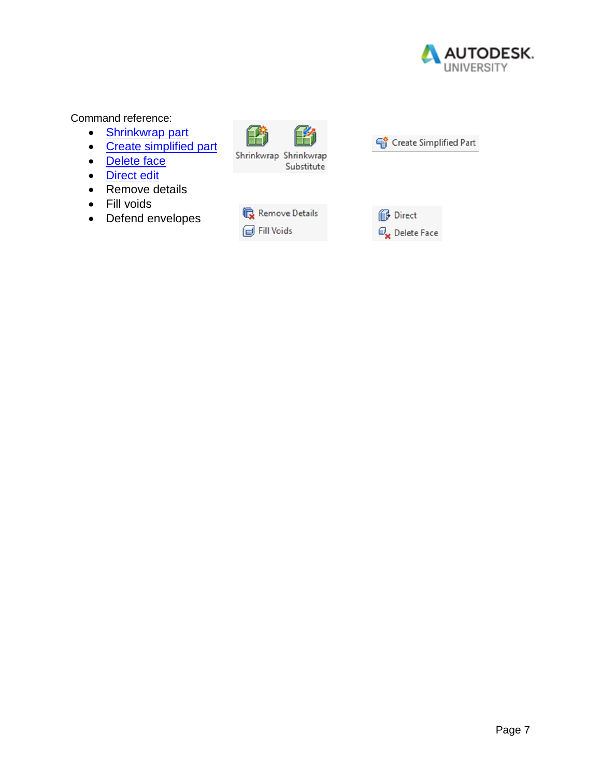

#### Command reference:

- [Shrinkwrap part](https://help.autodesk.com/view/INVNTOR/2019/ENU/?guid=GUID-A106F1D6-2B7C-4BAB-9356-1DB87CA4767A)
- [Create simplified](https://help.autodesk.com/view/INVNTOR/2019/ENU/?guid=GUID-B0D9FF6F-938E-4A3A-8F1B-95B9B2D58BEA) [part](https://help.autodesk.com/view/INVNTOR/2019/ENU/?guid=GUID-B0D9FF6F-938E-4A3A-8F1B-95B9B2D58BEA)
- [Delete face](https://help.autodesk.com/view/INVNTOR/2019/ENU/?guid=GUID-E9151557-0811-49FE-AC40-3AA364466DA8)
- [Direct](https://help.autodesk.com/view/INVNTOR/2019/ENU/?guid=GUID-3C3258FE-E5B2-4219-BE90-BD8011580855) [edit](https://help.autodesk.com/view/INVNTOR/2019/ENU/?guid=GUID-3C3258FE-E5B2-4219-BE90-BD8011580855)
- Remove details
- Fill voids
- Defend envelopes





| Remove Details |
|----------------|
| Fill Voids     |

Direct  $\mathcal{O}_{\mathbf{x}}$  Delete Face